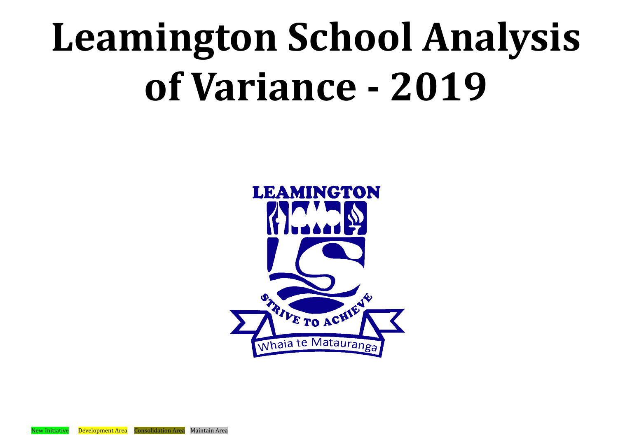# **Leamington School Analysis of Variance - 2019**



New Initiative Development Area Consolidation Area Maintain Area

- 
- 
- 
- 
- 
- 
- -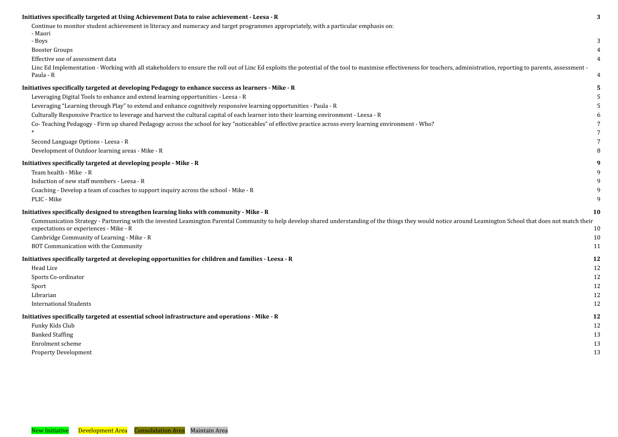### **[Initiatives specifically targeted at Using Achievement](#page-3-0) Data to raise achievement - Leesa - R [3](#page-3-0)**

Continue to monitor student achievement in literacy [and numeracy and target programmes appropriately,](#page-3-1) with a particular emphasis on:

[- Maori](#page-3-1)

### **[Initiatives specifically targeted at developing Pedagogy](#page-5-1) to enhance success as learners - Mike - R [5](#page-5-1)**

| - Boys                                                                                                                                                                                                                                                |           |
|-------------------------------------------------------------------------------------------------------------------------------------------------------------------------------------------------------------------------------------------------------|-----------|
| <b>Booster Groups</b>                                                                                                                                                                                                                                 |           |
| Effective use of assessment data                                                                                                                                                                                                                      |           |
| Linc Ed Implementation - Working with all stakeholders to ensure the roll out of Linc Ed exploits the potential of the tool to maximise effectiveness for teachers, administration, reporting to parents, assessment -<br>Paula - R                   |           |
| iatives specifically targeted at developing Pedagogy to enhance success as learners - Mike - R                                                                                                                                                        |           |
| Leveraging Digital Tools to enhance and extend learning opportunities - Leesa - R                                                                                                                                                                     |           |
| Leveraging "Learning through Play" to extend and enhance cognitively responsive learning opportunities - Paula - R                                                                                                                                    |           |
| Culturally Responsive Practice to leverage and harvest the cultural capital of each learner into their learning environment - Leesa - R                                                                                                               |           |
| Co- Teaching Pedagogy - Firm up shared Pedagogy across the school for key "noticeables" of effective practice across every learning environment - Who?                                                                                                |           |
|                                                                                                                                                                                                                                                       |           |
| Second Language Options - Leesa - R                                                                                                                                                                                                                   |           |
| Development of Outdoor learning areas - Mike - R                                                                                                                                                                                                      |           |
| iatives specifically targeted at developing people - Mike - R                                                                                                                                                                                         |           |
| Team health - Mike - R                                                                                                                                                                                                                                |           |
| Induction of new staff members - Leesa - R                                                                                                                                                                                                            |           |
| Coaching - Develop a team of coaches to support inquiry across the school - Mike - R                                                                                                                                                                  |           |
| PLIC - Mike                                                                                                                                                                                                                                           |           |
| iatives specifically designed to strengthen learning links with community - Mike - R                                                                                                                                                                  | <b>10</b> |
| Communication Strategy - Partnering with the invested Leamington Parental Community to help develop shared understanding of the things they would notice around Leamington School that does not match their<br>expectations or experiences - Mike - R | 10        |
| Cambridge Community of Learning - Mike - R                                                                                                                                                                                                            | 10        |
| BOT Communication with the Community                                                                                                                                                                                                                  | 11        |
| iatives specifically targeted at developing opportunities for children and families - Leesa - R                                                                                                                                                       | 12        |
| Head Lice                                                                                                                                                                                                                                             | 12        |
| Sports Co-ordinator                                                                                                                                                                                                                                   | 12        |
| Sport                                                                                                                                                                                                                                                 | 12        |
| Librarian                                                                                                                                                                                                                                             | 12        |
| <b>International Students</b>                                                                                                                                                                                                                         | 12        |
| iatives specifically targeted at essential school infrastructure and operations - Mike - R                                                                                                                                                            | 12        |
| Funky Kids Club                                                                                                                                                                                                                                       | 12        |
| <b>Banked Staffing</b>                                                                                                                                                                                                                                | 13        |
| Enrolment scheme                                                                                                                                                                                                                                      | 13        |
| <b>Property Development</b>                                                                                                                                                                                                                           | 13        |

### **[Initiatives specifically targeted at developing people](#page-13-0) - Mike - R [9](#page-13-0)**

### **[Initiatives specifically designed to strengthen learning](#page-15-0) links with community - Mike - R [10](#page-15-0)**

## **[Initiatives specifically targeted at developing opportunities](#page-17-0) for children and families - Leesa - R [12](#page-17-0)**

### **[Initiatives specifically targeted at essential school](#page-17-6) infrastructure and operations - Mike - R [12](#page-17-6)**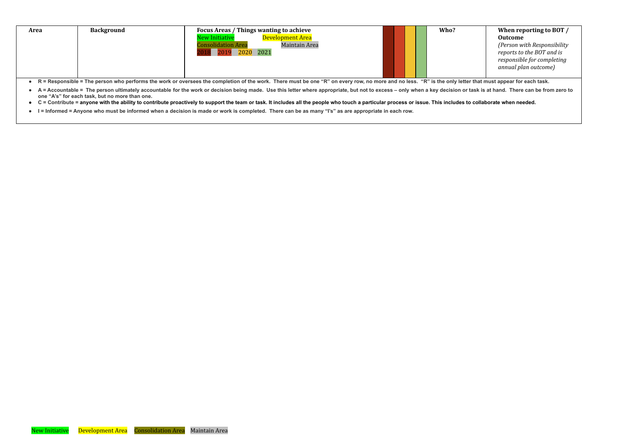| <b>Background</b><br>Area<br>-- - - - | <b>Focus Areas / Things wanting to achieve</b><br>Development Area<br><b>New Initiative</b><br><b>Consolidation Area</b><br><b>Maintain Area</b><br>2020 2021<br>2019<br>_________<br>$\sim$ $\sim$ $\sim$ $\sim$ $\sim$ |  |  |  | Who?<br>. |
|---------------------------------------|--------------------------------------------------------------------------------------------------------------------------------------------------------------------------------------------------------------------------|--|--|--|-----------|
|---------------------------------------|--------------------------------------------------------------------------------------------------------------------------------------------------------------------------------------------------------------------------|--|--|--|-----------|

- R = Responsible = The person who performs the work or oversees the completion of the work. There must be one "R" on every row, no more and no less. "R" is the only letter that must appear for each task.
- A = Accountable = The person ultimately accountable for the work or decision being made. Use this letter where appropriate, but not to excess only when a key decision or task is at hand. There can be from zero to **one "A's" for each task, but no more than one.**
- C = Contribute = anyone with the ability to contribute proactively to support the team or task. It includes all the people who touch a particular process or issue. This includes to collaborate when needed.
- I = Informed = Anyone who must be informed when a decision is made or work is completed. There can be as many "I's" as are appropriate in each row.

| Who? | When reporting to BOT /                                                                                        |
|------|----------------------------------------------------------------------------------------------------------------|
|      | <b>Outcome</b>                                                                                                 |
|      | (Person with Responsibility<br>reports to the BOT and is<br>responsible for completing<br>annual plan outcome) |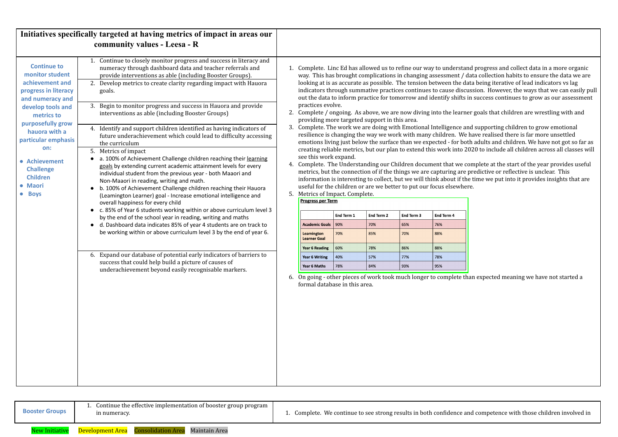<span id="page-3-1"></span><span id="page-3-0"></span>

| 1. Complete. Linc Ed has allowed us to refine our way to understand<br>way. This has brought complications in changing assessment / dat<br>looking at is as accurate as possible. The tension between the data<br>indicators through summative practices continues to cause discuss<br>out the data to inform practice for tomorrow and identify shifts in<br>practices evolve.<br>2. Complete / ongoing. As above, we are now diving into the learner<br>providing more targeted support in this area.<br>3. Complete. The work we are doing with Emotional Intelligence and<br>resilience is changing the way we work with many children. We ha<br>emotions living just below the surface than we expected - for both<br>creating reliable metrics, but our plan to extend this work into 202<br>see this work expand.<br>4. Complete. The Understanding our Children document that we con<br>metrics, but the connection of if the things we are capturing are pre<br>information is interesting to collect, but we will think about if the t<br>useful for the children or are we better to put our focus elsewhere.<br>Metrics of Impact. Complete.<br><b>Progress per Term</b><br>End Term 1<br>End Term 2<br>End Term 3<br>End Term 4<br><b>Academic Goals</b><br>90%<br>76%<br>70%<br>65%<br><b>Leamington</b><br>70%<br>88%<br>70%<br>85%<br><b>Learner Goal</b><br>60%<br>86%<br>88%<br><b>Year 6 Reading</b><br>78%<br>77%<br>78%<br><b>Year 6 Writing</b><br>57%<br>40%<br>95%<br>Year 6 Maths<br>78%<br>84%<br>93%<br>6. On going - other pieces of work took much longer to complete than<br>formal database in this area. |
|------------------------------------------------------------------------------------------------------------------------------------------------------------------------------------------------------------------------------------------------------------------------------------------------------------------------------------------------------------------------------------------------------------------------------------------------------------------------------------------------------------------------------------------------------------------------------------------------------------------------------------------------------------------------------------------------------------------------------------------------------------------------------------------------------------------------------------------------------------------------------------------------------------------------------------------------------------------------------------------------------------------------------------------------------------------------------------------------------------------------------------------------------------------------------------------------------------------------------------------------------------------------------------------------------------------------------------------------------------------------------------------------------------------------------------------------------------------------------------------------------------------------------------------------------------------------------------------------------------------------------------------|
|                                                                                                                                                                                                                                                                                                                                                                                                                                                                                                                                                                                                                                                                                                                                                                                                                                                                                                                                                                                                                                                                                                                                                                                                                                                                                                                                                                                                                                                                                                                                                                                                                                          |



ence and competence with those children involved in

<span id="page-3-2"></span>

| <b>Booster Groups</b> | 1. Continue the effective implementation of booster group program<br>in numeracy. | 1. Complete. We continue to see strong results in both confider |
|-----------------------|-----------------------------------------------------------------------------------|-----------------------------------------------------------------|
| New Initiative        | <b>Development Area</b> Consolidation Area<br>Maintain Area                       |                                                                 |

nd progress and collect data in a more organic data collection habits to ensure the data we are lata being iterative of lead indicators vs lag ussion. However, the ways that we can easily pull in success continues to grow as our assessment

er goals that children are wrestling with and

nd supporting children to grow emotional the value is far more unsettled. oth adults and children. We have not got so far as  $2020$  to include all children across all classes will  $\overline{\phantom{a}}$ 

complete at the start of the year provides useful predictive or reflective is unclear. This ing time we put into it provides insights that are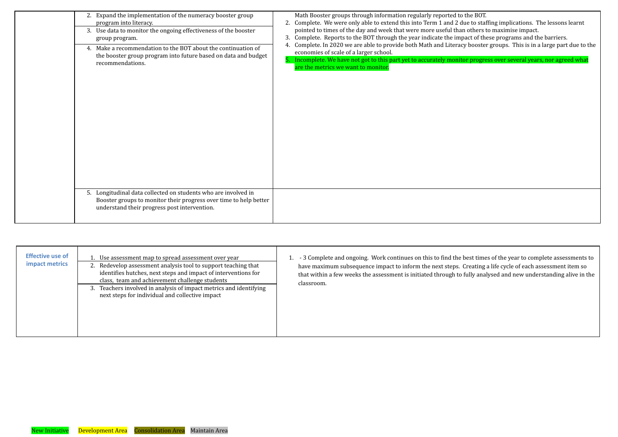| 2. Expand the implementation of the numeracy booster group<br>program into literacy.<br>3. Use data to monitor the ongoing effectiveness of the booster<br>group program.<br>4. Make a recommendation to the BOT about the continuation of<br>the booster group program into future based on data and budget<br>recommendations. | Math Booster groups through information regularly reported to the BOT.<br>Complete. We were only able to extend this into Term 1 and 2 due to stat<br>pointed to times of the day and week that were more useful than others t<br>Complete. Reports to the BOT through the year indicate the impact of the<br>Complete. In 2020 we are able to provide both Math and Literacy booster<br>economies of scale of a larger school.<br>5. Incomplete. We have not got to this part yet to accurately monitor progre<br>are the metrics we want to monitor. |
|----------------------------------------------------------------------------------------------------------------------------------------------------------------------------------------------------------------------------------------------------------------------------------------------------------------------------------|--------------------------------------------------------------------------------------------------------------------------------------------------------------------------------------------------------------------------------------------------------------------------------------------------------------------------------------------------------------------------------------------------------------------------------------------------------------------------------------------------------------------------------------------------------|
| 5. Longitudinal data collected on students who are involved in<br>Booster groups to monitor their progress over time to help better<br>understand their progress post intervention.                                                                                                                                              |                                                                                                                                                                                                                                                                                                                                                                                                                                                                                                                                                        |

<span id="page-4-0"></span>

| <b>Effective use of</b><br><b>impact metrics</b> | Use assessment map to spread assessment over year<br>2. Redevelop assessment analysis tool to support teaching that<br>identifies hutches, next steps and impact of interventions for<br>class, team and achievement challenge students<br>3. Teachers involved in analysis of impact metrics and identifying<br>next steps for individual and collective impact | - 3 Complete and ongoing. Work continues on this to find the be<br>have maximum subsequence impact to inform the next steps. Cr<br>that within a few weeks the assessment is initiated through to fu<br>classroom. |
|--------------------------------------------------|------------------------------------------------------------------------------------------------------------------------------------------------------------------------------------------------------------------------------------------------------------------------------------------------------------------------------------------------------------------|--------------------------------------------------------------------------------------------------------------------------------------------------------------------------------------------------------------------|
|--------------------------------------------------|------------------------------------------------------------------------------------------------------------------------------------------------------------------------------------------------------------------------------------------------------------------------------------------------------------------------------------------------------------------|--------------------------------------------------------------------------------------------------------------------------------------------------------------------------------------------------------------------|

1. e to staffing implications. The lessons learnt others to maximise impact. act of these programs and the barriers. booster groups. This is in a large part due to the

r progress over several years, nor agreed what

est times of the year to complete assessments to reating a life cycle of each assessment item so ully analysed and new understanding alive in the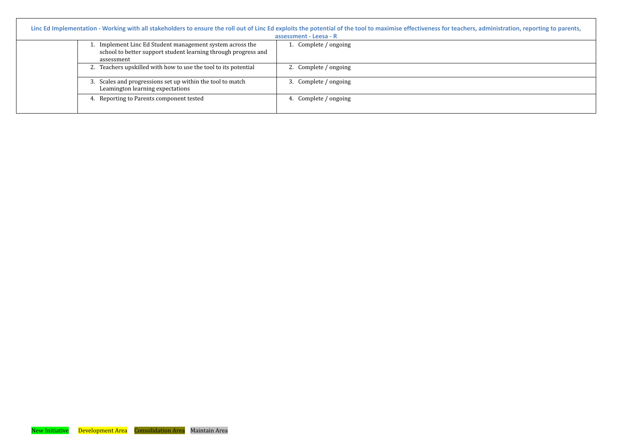<span id="page-5-1"></span><span id="page-5-0"></span>

|                                                                                                                                           | Linc Ed Implementation - Working with all stakeholders to ensure the roll out of Linc Ed exploits the potential of the tool to maximise effectiveness for teachers, administration, reporting to parents,<br>assessment - Leesa - R |
|-------------------------------------------------------------------------------------------------------------------------------------------|-------------------------------------------------------------------------------------------------------------------------------------------------------------------------------------------------------------------------------------|
| 1. Implement Linc Ed Student management system across the<br>school to better support student learning through progress and<br>assessment | 1. Complete / ongoing                                                                                                                                                                                                               |
| 2. Teachers upskilled with how to use the tool to its potential                                                                           | 2. Complete / ongoing                                                                                                                                                                                                               |
| 3. Scales and progressions set up within the tool to match<br>Leamington learning expectations                                            | Complete / ongoing                                                                                                                                                                                                                  |
| 4. Reporting to Parents component tested                                                                                                  | Complete / ongoing                                                                                                                                                                                                                  |

| ers, administration, reporting to parents, |
|--------------------------------------------|
|                                            |
|                                            |
|                                            |
|                                            |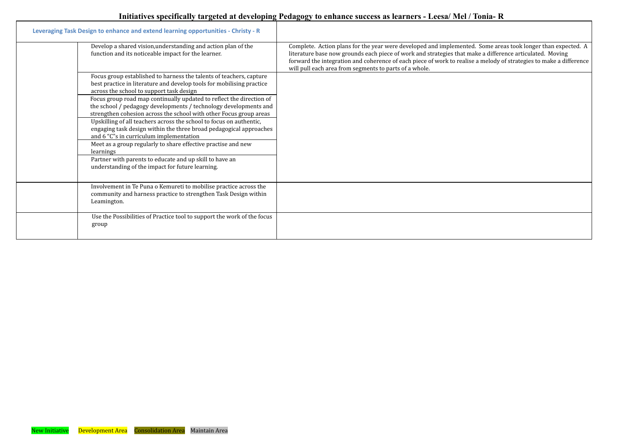# Initiatives specifically targeted at developing Pedagogy to enhance success as learners - Leesa/Mel/Tonia-R

<span id="page-6-0"></span>

| Leveraging Task Design to enhance and extend learning opportunities - Christy - R                                                                                                                                                                                                                                              |                                                                                                                                                                                                                                                                                                                                                                                                         |
|--------------------------------------------------------------------------------------------------------------------------------------------------------------------------------------------------------------------------------------------------------------------------------------------------------------------------------|---------------------------------------------------------------------------------------------------------------------------------------------------------------------------------------------------------------------------------------------------------------------------------------------------------------------------------------------------------------------------------------------------------|
| Develop a shared vision, understanding and action plan of the<br>function and its noticeable impact for the learner.                                                                                                                                                                                                           | Complete. Action plans for the year were developed and implemented. Some areas took longer than expected. A<br>literature base now grounds each piece of work and strategies that make a difference articulated. Moving<br>forward the integration and coherence of each piece of work to realise a melody of strategies to make a difference<br>will pull each area from segments to parts of a whole. |
| Focus group established to harness the talents of teachers, capture<br>best practice in literature and develop tools for mobilising practice<br>across the school to support task design<br>Focus group road map continually updated to reflect the direction of                                                               |                                                                                                                                                                                                                                                                                                                                                                                                         |
| the school / pedagogy developments / technology developments and<br>strengthen cohesion across the school with other Focus group areas<br>Upskilling of all teachers across the school to focus on authentic,<br>engaging task design within the three broad pedagogical approaches<br>and 6 "C"s in curriculum implementation |                                                                                                                                                                                                                                                                                                                                                                                                         |
| Meet as a group regularly to share effective practise and new<br>learnings<br>Partner with parents to educate and up skill to have an                                                                                                                                                                                          |                                                                                                                                                                                                                                                                                                                                                                                                         |
| understanding of the impact for future learning.                                                                                                                                                                                                                                                                               |                                                                                                                                                                                                                                                                                                                                                                                                         |
| Involvement in Te Puna o Kemureti to mobilise practice across the<br>community and harness practice to strengthen Task Design within<br>Leamington.                                                                                                                                                                            |                                                                                                                                                                                                                                                                                                                                                                                                         |
| Use the Possibilities of Practice tool to support the work of the focus<br>group                                                                                                                                                                                                                                               |                                                                                                                                                                                                                                                                                                                                                                                                         |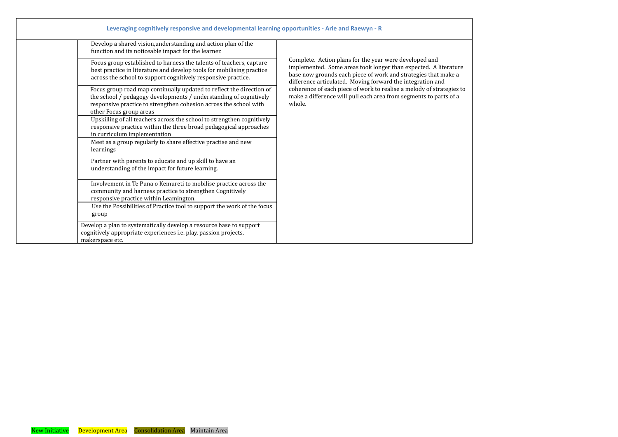<span id="page-7-0"></span>

| Leveraging cognitively responsive and developmental learning opportunities - Arie and Raewyn - R                                                                                                                                          |                                                                                                                                                                                                                                                           |
|-------------------------------------------------------------------------------------------------------------------------------------------------------------------------------------------------------------------------------------------|-----------------------------------------------------------------------------------------------------------------------------------------------------------------------------------------------------------------------------------------------------------|
| Develop a shared vision, understanding and action plan of the<br>function and its noticeable impact for the learner.                                                                                                                      |                                                                                                                                                                                                                                                           |
| Focus group established to harness the talents of teachers, capture<br>best practice in literature and develop tools for mobilising practice<br>across the school to support cognitively responsive practice.                             | Complete. Action plans for the year were developed and<br>implemented. Some areas took longer than expected. A literature<br>base now grounds each piece of work and strategies that make a<br>difference articulated. Moving forward the integration and |
| Focus group road map continually updated to reflect the direction of<br>the school / pedagogy developments / understanding of cognitively<br>responsive practice to strengthen cohesion across the school with<br>other Focus group areas | coherence of each piece of work to realise a melody of strategies to<br>make a difference will pull each area from segments to parts of a<br>whole.                                                                                                       |
| Upskilling of all teachers across the school to strengthen cognitively<br>responsive practice within the three broad pedagogical approaches<br>in curriculum implementation                                                               |                                                                                                                                                                                                                                                           |
| Meet as a group regularly to share effective practise and new<br>learnings                                                                                                                                                                |                                                                                                                                                                                                                                                           |
| Partner with parents to educate and up skill to have an<br>understanding of the impact for future learning.                                                                                                                               |                                                                                                                                                                                                                                                           |
| Involvement in Te Puna o Kemureti to mobilise practice across the<br>community and harness practice to strengthen Cognitively<br>responsive practice within Leamington.                                                                   |                                                                                                                                                                                                                                                           |
| Use the Possibilities of Practice tool to support the work of the focus<br>group                                                                                                                                                          |                                                                                                                                                                                                                                                           |
| Develop a plan to systematically develop a resource base to support<br>cognitively appropriate experiences i.e. play, passion projects,<br>makerspace etc.                                                                                |                                                                                                                                                                                                                                                           |

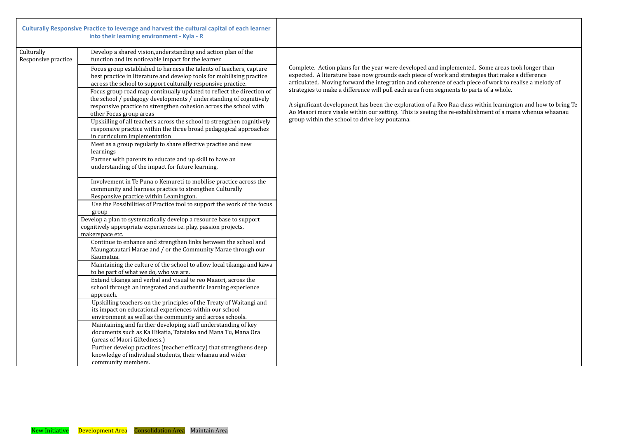<span id="page-8-0"></span>

|                                   | Culturally Responsive Practice to leverage and harvest the cultural capital of each learner<br>into their learning environment - Kyla - R                                                                                                                                                                                                                                                                                                                                                                                                                                                                                                |                                                                                                                                                                                                                                                                   |
|-----------------------------------|------------------------------------------------------------------------------------------------------------------------------------------------------------------------------------------------------------------------------------------------------------------------------------------------------------------------------------------------------------------------------------------------------------------------------------------------------------------------------------------------------------------------------------------------------------------------------------------------------------------------------------------|-------------------------------------------------------------------------------------------------------------------------------------------------------------------------------------------------------------------------------------------------------------------|
| Culturally<br>Responsive practice | Develop a shared vision, understanding and action plan of the<br>function and its noticeable impact for the learner.                                                                                                                                                                                                                                                                                                                                                                                                                                                                                                                     |                                                                                                                                                                                                                                                                   |
|                                   | Focus group established to harness the talents of teachers, capture<br>best practice in literature and develop tools for mobilising practice<br>across the school to support culturally responsive practice.<br>Focus group road map continually updated to reflect the direction of<br>the school / pedagogy developments / understanding of cognitively<br>responsive practice to strengthen cohesion across the school with<br>other Focus group areas<br>Upskilling of all teachers across the school to strengthen cognitively<br>responsive practice within the three broad pedagogical approaches<br>in curriculum implementation | Complete. Action plans for the ye<br>expected. A literature base now g<br>articulated. Moving forward the i<br>strategies to make a difference wi<br>A significant development has been<br>Ao Maaori more visale within our<br>group within the school to drive k |
|                                   | Meet as a group regularly to share effective practise and new<br>learnings<br>Partner with parents to educate and up skill to have an<br>understanding of the impact for future learning.                                                                                                                                                                                                                                                                                                                                                                                                                                                |                                                                                                                                                                                                                                                                   |
|                                   | Involvement in Te Puna o Kemureti to mobilise practice across the<br>community and harness practice to strengthen Culturally<br>Responsive practice within Leamington.                                                                                                                                                                                                                                                                                                                                                                                                                                                                   |                                                                                                                                                                                                                                                                   |
|                                   | Use the Possibilities of Practice tool to support the work of the focus<br>group                                                                                                                                                                                                                                                                                                                                                                                                                                                                                                                                                         |                                                                                                                                                                                                                                                                   |
|                                   | Develop a plan to systematically develop a resource base to support<br>cognitively appropriate experiences <i>i.e.</i> play, passion projects,<br>makerspace etc.                                                                                                                                                                                                                                                                                                                                                                                                                                                                        |                                                                                                                                                                                                                                                                   |
|                                   | Continue to enhance and strengthen links between the school and<br>Maungatautari Marae and / or the Community Marae through our<br>Kaumatua.                                                                                                                                                                                                                                                                                                                                                                                                                                                                                             |                                                                                                                                                                                                                                                                   |
|                                   | Maintaining the culture of the school to allow local tikanga and kawa<br>to be part of what we do, who we are.                                                                                                                                                                                                                                                                                                                                                                                                                                                                                                                           |                                                                                                                                                                                                                                                                   |
|                                   | Extend tikanga and verbal and visual te reo Maaori, across the<br>school through an integrated and authentic learning experience<br>approach.                                                                                                                                                                                                                                                                                                                                                                                                                                                                                            |                                                                                                                                                                                                                                                                   |
|                                   | Upskilling teachers on the principles of the Treaty of Waitangi and<br>its impact on educational experiences within our school<br>environment as well as the community and across schools.                                                                                                                                                                                                                                                                                                                                                                                                                                               |                                                                                                                                                                                                                                                                   |
|                                   | Maintaining and further developing staff understanding of key<br>documents such as Ka Hikatia, Tataiako and Mana Tu, Mana Ora<br>(areas of Maori Giftedness.)                                                                                                                                                                                                                                                                                                                                                                                                                                                                            |                                                                                                                                                                                                                                                                   |
|                                   | Further develop practices (teacher efficacy) that strengthens deep<br>knowledge of individual students, their whanau and wider<br>community members.                                                                                                                                                                                                                                                                                                                                                                                                                                                                                     |                                                                                                                                                                                                                                                                   |

ear were developed and implemented. Some areas took longer than grounds each piece of work and strategies that make a difference integration and coherence of each piece of work to realise a melody of  $\tilde{\textbf{r}}$ ill pull each area from segments to parts of a whole.

een the exploration of a Reo Rua class within leamington and how to bring Te r setting. This is seeing the re-establishment of a mana whenua whaanau key poutama.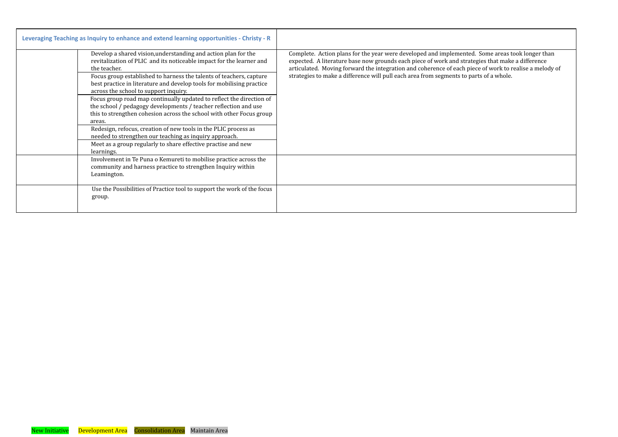| Leveraging Teaching as Inquiry to enhance and extend learning opportunities - Christy - R                                                                                                                                                                                                                                                                                                                                                                                                                                                                                                                                                                                                                                                                                                |                                                                                                                                                                                                                                                                                                                                                                                                         |
|------------------------------------------------------------------------------------------------------------------------------------------------------------------------------------------------------------------------------------------------------------------------------------------------------------------------------------------------------------------------------------------------------------------------------------------------------------------------------------------------------------------------------------------------------------------------------------------------------------------------------------------------------------------------------------------------------------------------------------------------------------------------------------------|---------------------------------------------------------------------------------------------------------------------------------------------------------------------------------------------------------------------------------------------------------------------------------------------------------------------------------------------------------------------------------------------------------|
| Develop a shared vision, understanding and action plan for the<br>revitalization of PLIC and its noticeable impact for the learner and<br>the teacher.<br>Focus group established to harness the talents of teachers, capture<br>best practice in literature and develop tools for mobilising practice<br>across the school to support inquiry.<br>Focus group road map continually updated to reflect the direction of<br>the school / pedagogy developments / teacher reflection and use<br>this to strengthen cohesion across the school with other Focus group<br>areas.<br>Redesign, refocus, creation of new tools in the PLIC process as<br>needed to strengthen our teaching as inquiry approach.<br>Meet as a group regularly to share effective practise and new<br>learnings. | Complete. Action plans for the year were developed and implemented. Some areas took longer than<br>expected. A literature base now grounds each piece of work and strategies that make a difference<br>articulated. Moving forward the integration and coherence of each piece of work to realise a melody of<br>strategies to make a difference will pull each area from segments to parts of a whole. |
| Involvement in Te Puna o Kemureti to mobilise practice across the<br>community and harness practice to strengthen Inquiry within<br>Leamington.                                                                                                                                                                                                                                                                                                                                                                                                                                                                                                                                                                                                                                          |                                                                                                                                                                                                                                                                                                                                                                                                         |
| Use the Possibilities of Practice tool to support the work of the focus<br>group.                                                                                                                                                                                                                                                                                                                                                                                                                                                                                                                                                                                                                                                                                                        |                                                                                                                                                                                                                                                                                                                                                                                                         |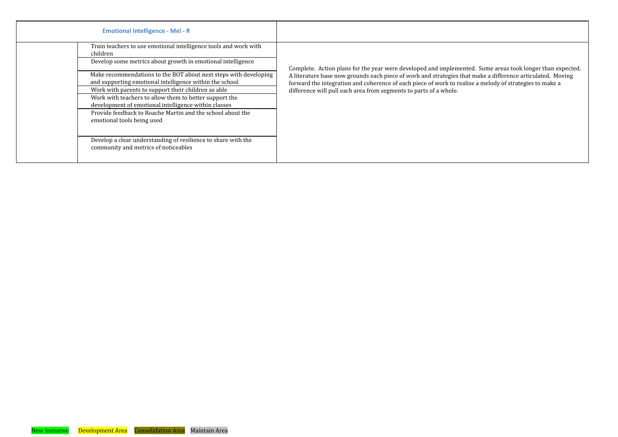| <b>Emotional Intelligence - Mel - R</b>                                                                                                                                                                                                                                                                                      |                                                                                                                                                                                                                         |
|------------------------------------------------------------------------------------------------------------------------------------------------------------------------------------------------------------------------------------------------------------------------------------------------------------------------------|-------------------------------------------------------------------------------------------------------------------------------------------------------------------------------------------------------------------------|
| Train teachers to use emotional intelligence tools and work with<br>children<br>Develop some metrics about growth in emotional intelligence<br>Make recommendations to the BOT about next steps with developing                                                                                                              | Complete. Action plans for the year were developed and implemented. Some areas took longer than expected.<br>A literature base now grounds each piece of work and strategies that make a difference articulated. Moving |
| and supporting emotional intelligence within the school<br>Work with parents to support their children as able<br>Work with teachers to allow them to better support the<br>development of emotional intelligence within classes<br>Provide feedback to Roache Martin and the school about the<br>emotional tools being used | forward the integration and coherence of each piece of work to realise a melody of strategies to make a<br>difference will pull each area from segments to parts of a whole.                                            |
| Develop a clear understanding of resilience to share with the<br>community and metrics of noticeables                                                                                                                                                                                                                        |                                                                                                                                                                                                                         |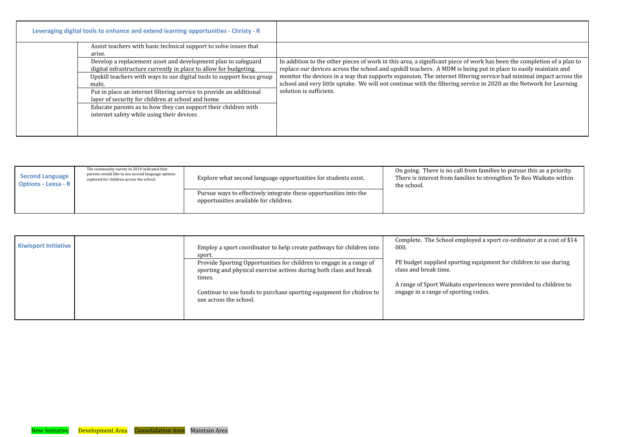| Leveraging digital tools to enhance and extend learning opportunities - Christy - R            |                                                                                                                                                                                                              |                                                                                                                                                                                                                                                                                                                                                                                                                                                                                      |
|------------------------------------------------------------------------------------------------|--------------------------------------------------------------------------------------------------------------------------------------------------------------------------------------------------------------|--------------------------------------------------------------------------------------------------------------------------------------------------------------------------------------------------------------------------------------------------------------------------------------------------------------------------------------------------------------------------------------------------------------------------------------------------------------------------------------|
| arise.                                                                                         | Assist teachers with basic technical support to solve issues that                                                                                                                                            |                                                                                                                                                                                                                                                                                                                                                                                                                                                                                      |
| mahi.                                                                                          | Develop a replacement asset and development plan to safeguard<br>digital infrastructure currently in place to allow for budgeting.<br>Upskill teachers with ways to use digital tools to support focus group | In addition to the other pieces of work in this area, a significant piece of work has been the completion of a plan to<br>replace our devices across the school and upskill teachers. A MDM is being put in place to easily maintain and<br>monitor the devices in a way that supports expansion. The internet filtering service had minimal impact across the<br>school and very little uptake. We will not continue with the filtering service in 2020 as the Network for Learning |
| layer of security for children at school and home<br>internet safety while using their devices | Put in place an internet filtering service to provide an additional<br>Educate parents as to how they can support their children with                                                                        | solution is sufficient.                                                                                                                                                                                                                                                                                                                                                                                                                                                              |

<span id="page-11-0"></span>

| <b>Second Language</b><br><b>Options - Leesa - R</b> | The community survey in 2014 indicated that<br>parents would like to see second language options<br>explored for children across the school. | Explore what second language opportunities for students exist.                                             | On going. There is no call fi<br>There is interest from famil<br>the school. |
|------------------------------------------------------|----------------------------------------------------------------------------------------------------------------------------------------------|------------------------------------------------------------------------------------------------------------|------------------------------------------------------------------------------|
|                                                      |                                                                                                                                              | Pursue ways to effectively integrate these opportunities into the<br>opportunities available for children. |                                                                              |

On going. There is no call from families to pursue this as a priority. There is interest from families to strengthen Te Reo Waikato within

loyed a sport co-ordinator at a cost of \$14

 $\log$  equipment for children to use during

xperiences were provided to children to ng codes.

|                             |                                                                                                                                           | Complete. The School empl                            |
|-----------------------------|-------------------------------------------------------------------------------------------------------------------------------------------|------------------------------------------------------|
| <b>Kiwisport Initiative</b> | Employ a sport coordinator to help create pathways for children into                                                                      | 000.                                                 |
|                             | sport.                                                                                                                                    |                                                      |
|                             | Provide Sporting Opportunities for children to engage in a range of<br>sporting and physical exercise actives during both class and break | PE budget supplied sporting<br>class and break time. |
|                             | times.                                                                                                                                    |                                                      |
|                             |                                                                                                                                           | A range of Sport Waikato ex                          |
|                             | Continue to use funds to purchase sporting equipment for chidren to<br>use across the school.                                             | engage in a range of sportin                         |
|                             |                                                                                                                                           |                                                      |
|                             |                                                                                                                                           |                                                      |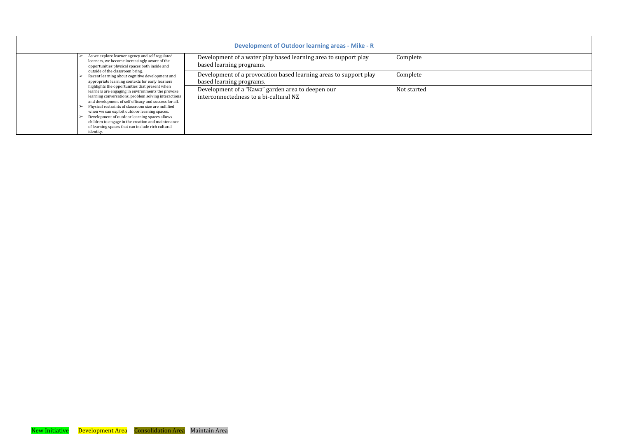<span id="page-12-0"></span>

|                                                                                                                                                                                                                      | <b>Development of Outdoor learning areas - Mike - R</b>                                       |             |
|----------------------------------------------------------------------------------------------------------------------------------------------------------------------------------------------------------------------|-----------------------------------------------------------------------------------------------|-------------|
| As we explore learner agency and self regulated<br>learners, we become increasingly aware of the<br>opportunities physical spaces both inside and                                                                    | Development of a water play based learning area to support play<br>based learning programs.   | Complete    |
| outside of the classroom bring.<br>Recent learning about cognitive development and<br>appropriate learning contexts for early learners                                                                               | Development of a provocation based learning areas to support play<br>based learning programs. | Complete    |
| highlights the opportunities that present when<br>learners are engaging in environments the provoke<br>learning conversations, problem solving interactions<br>and development of self efficacy and success for all. | Development of a "Kawa" garden area to deepen our<br>interconnectedness to a bi-cultural NZ   | Not started |
| Physical restraints of classroom size are nullified<br>when we can exploit outdoor learning spaces.                                                                                                                  |                                                                                               |             |
| Development of outdoor learning spaces allows<br>children to engage in the creation and maintenance<br>of learning spaces that can include rich cultural<br>identity.                                                |                                                                                               |             |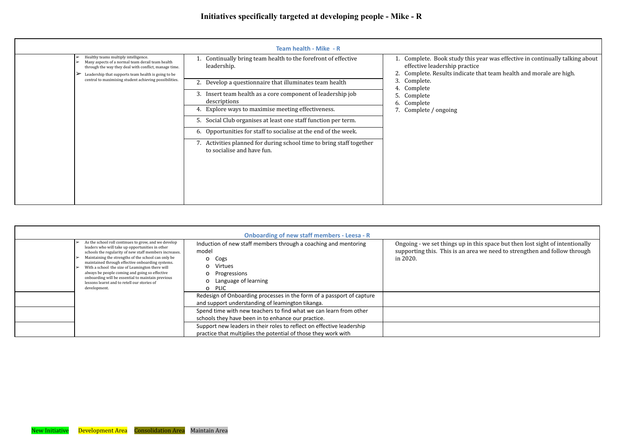<span id="page-13-0"></span>

|                                                        |                                                                                                                                                                                                                         | <b>Team health - Mike - R</b>                                                                         |                                                                                     |
|--------------------------------------------------------|-------------------------------------------------------------------------------------------------------------------------------------------------------------------------------------------------------------------------|-------------------------------------------------------------------------------------------------------|-------------------------------------------------------------------------------------|
|                                                        | Healthy teams multiply intelligence.<br>➤<br>Many aspects of a normal team derail team health<br>➤<br>through the way they deal with conflict, manage time.<br>Leadership that supports team health is going to be<br>➤ | Continually bring team health to the forefront of effective<br>leadership.                            | 1. Complete. Book study tl<br>effective leadership prac<br>Complete. Results indica |
| central to maximising student achieving possibilities. | Develop a questionnaire that illuminates team health                                                                                                                                                                    | Complete.<br>3.<br>Complete<br>4.                                                                     |                                                                                     |
|                                                        |                                                                                                                                                                                                                         | Insert team health as a core component of leadership job<br>3.<br>descriptions                        | Complete<br>Complete<br>6.                                                          |
|                                                        |                                                                                                                                                                                                                         | Explore ways to maximise meeting effectiveness.<br>4.                                                 | 7. Complete / ongoing                                                               |
|                                                        |                                                                                                                                                                                                                         | Social Club organises at least one staff function per term.<br>5.                                     |                                                                                     |
|                                                        |                                                                                                                                                                                                                         | 6. Opportunities for staff to socialise at the end of the week.                                       |                                                                                     |
|                                                        |                                                                                                                                                                                                                         | Activities planned for during school time to bring staff together<br>7.<br>to socialise and have fun. |                                                                                     |

<span id="page-13-1"></span>

|                                                                                                                                                                                                                                                                                                                                                                                                                                                                                                       | <b>Onboarding of new staff members - Leesa - R</b>                                                                                                                                 |                                                                         |
|-------------------------------------------------------------------------------------------------------------------------------------------------------------------------------------------------------------------------------------------------------------------------------------------------------------------------------------------------------------------------------------------------------------------------------------------------------------------------------------------------------|------------------------------------------------------------------------------------------------------------------------------------------------------------------------------------|-------------------------------------------------------------------------|
| As the school roll continues to grow, and we develop<br>leaders who will take up opportunities in other<br>schools the regularity of new staff members increases.<br>Maintaining the strengths of the school can only be<br>maintained through effective onboarding systems.<br>With a school the size of Leamington there will<br>always be people coming and going so effective<br>onboarding will be essential to maintain previous<br>lessons learnt and to retell our stories of<br>development. | Induction of new staff members through a coaching and mentoring<br>model<br>$\mathsf{O}$<br>Cogs<br>Virtues<br>Progressions<br>Language of learning<br><b>PLIC</b><br>$\mathsf{O}$ | Ongoing - we set things up<br>supporting this. This is an a<br>in 2020. |
|                                                                                                                                                                                                                                                                                                                                                                                                                                                                                                       | Redesign of Onboarding processes in the form of a passport of capture<br>and support understanding of leamington tikanga.                                                          |                                                                         |
|                                                                                                                                                                                                                                                                                                                                                                                                                                                                                                       | Spend time with new teachers to find what we can learn from other<br>schools they have been in to enhance our practice.                                                            |                                                                         |
|                                                                                                                                                                                                                                                                                                                                                                                                                                                                                                       | Support new leaders in their roles to reflect on effective leadership<br>practice that multiplies the potential of those they work with                                            |                                                                         |

Ongoing - we set things up in this space but then lost sight of intentionally supporting this. This is an area we need to strengthen and follow through

this year was effective in continually talking about effective leadership provide the leadership provided the continuity of the continuity of the set of the set of  $\epsilon$ cate that team health and morale are high.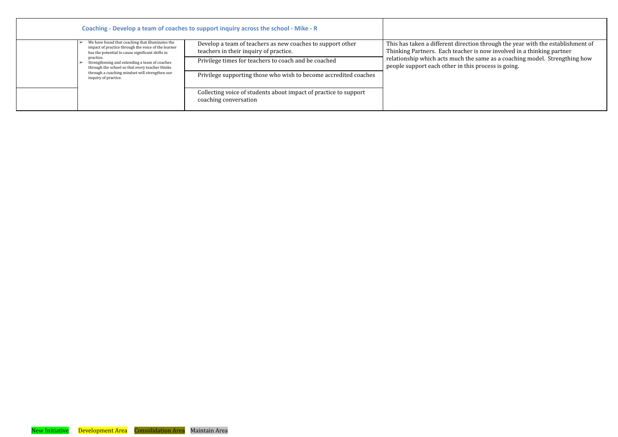<span id="page-14-0"></span>

|                                                                                                                                                             | Coaching - Develop a team of coaches to support inquiry across the school - Mike - R                 |                                                                                                          |
|-------------------------------------------------------------------------------------------------------------------------------------------------------------|------------------------------------------------------------------------------------------------------|----------------------------------------------------------------------------------------------------------|
| We have found that coaching that illuminates the<br>impact of practice through the voice of the learner<br>has the potential to cause significant shifts in | Develop a team of teachers as new coaches to support other<br>teachers in their inquiry of practice. | This has taken a different direction through the ye<br>Thinking Partners. Each teacher is now involved i |
| practice.<br>Strengthening and extending a team of coaches<br>through the school so that every teacher thinks                                               | Privilege times for teachers to coach and be coached                                                 | relationship which acts much the same as a coachi<br>people support each other in this process is going. |
| through a coaching mindset will strengthen our<br>inquiry of practice.                                                                                      | Privilege supporting those who wish to become accredited coaches                                     |                                                                                                          |
|                                                                                                                                                             | Collecting voice of students about impact of practice to support<br>coaching conversation            |                                                                                                          |

This has taken a different direction through the year with the establishment of Thinking Partners. Each teacher is now involved in a thinking partner relationship which acts much the same as a coaching model. Strengthing how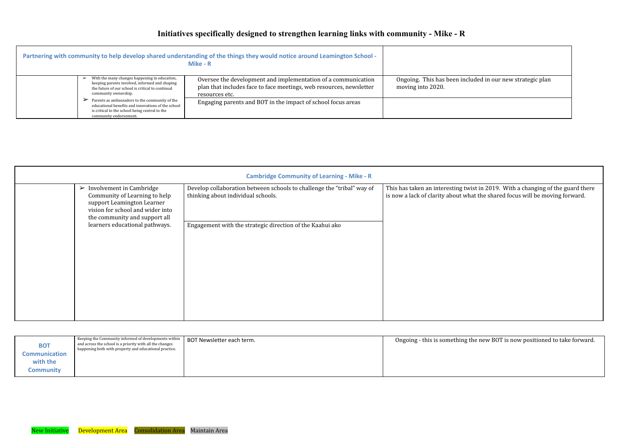# **Initiatives specifically designed to strengthen learning links with community - Mike - R**

<span id="page-15-1"></span><span id="page-15-0"></span>

|                                                                                                                                                                                  | Partnering with community to help develop shared understanding of the things they would notice around Leamington School -<br>Mike - R                  |                                                 |
|----------------------------------------------------------------------------------------------------------------------------------------------------------------------------------|--------------------------------------------------------------------------------------------------------------------------------------------------------|-------------------------------------------------|
| With the many changes happening in education,<br>keeping parents involved, informed and shaping<br>the future of our school is critical to continual<br>community ownership.     | Oversee the development and implementation of a communication<br>plan that includes face to face meetings, web resources, newsletter<br>resources etc. | Ongoing. This has been inc<br>moving into 2020. |
| Parents as ambassadors to the community of the<br>educational benefits and innovations of the school<br>is critical to the school being central to the<br>community endorsement. | Engaging parents and BOT in the impact of school focus areas                                                                                           |                                                 |

<span id="page-15-2"></span>

| <b>Cambridge Community of Learning - Mike - R</b> |                                                                                                                                                                                       |                                                                                                              |                                                                      |
|---------------------------------------------------|---------------------------------------------------------------------------------------------------------------------------------------------------------------------------------------|--------------------------------------------------------------------------------------------------------------|----------------------------------------------------------------------|
|                                                   | Involvement in Cambridge<br>$\blacktriangleright$<br>Community of Learning to help<br>support Leamington Learner<br>vision for school and wider into<br>the community and support all | Develop collaboration between schools to challenge the "tribal" way of<br>thinking about individual schools. | This has taken an interesting tv<br>is now a lack of clarity about w |
|                                                   | learners educational pathways.                                                                                                                                                        | Engagement with the strategic direction of the Kaahui ako                                                    |                                                                      |

This has taken an interesting twist in 2019. With a changing of the guard there is now a lack of clarity about what the shared focus will be moving forward.

g the new BOT is now positioned to take forward.

<span id="page-15-3"></span>

| Keeping the Community informed of developments within<br>and across the school is a priority with all the changes<br><b>BOT</b><br>happening both with property and educational practice.<br><b>Communication</b><br>with the<br><b>Community</b> | BOT Newsletter each term. | Ongoing - this is something |
|---------------------------------------------------------------------------------------------------------------------------------------------------------------------------------------------------------------------------------------------------|---------------------------|-----------------------------|
|---------------------------------------------------------------------------------------------------------------------------------------------------------------------------------------------------------------------------------------------------|---------------------------|-----------------------------|

cluded in our new strategic plan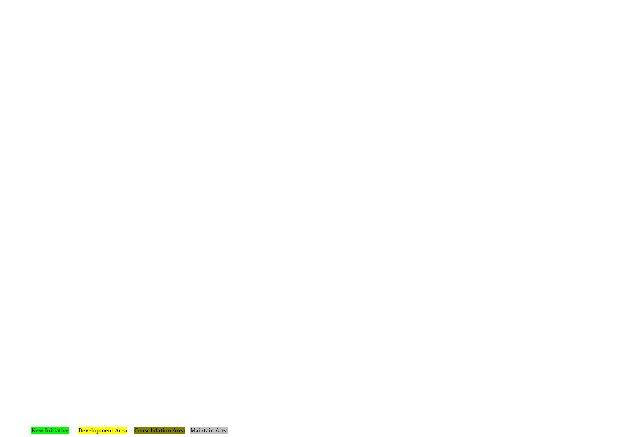New Initiative Development Area Consolidation Area Maintain Area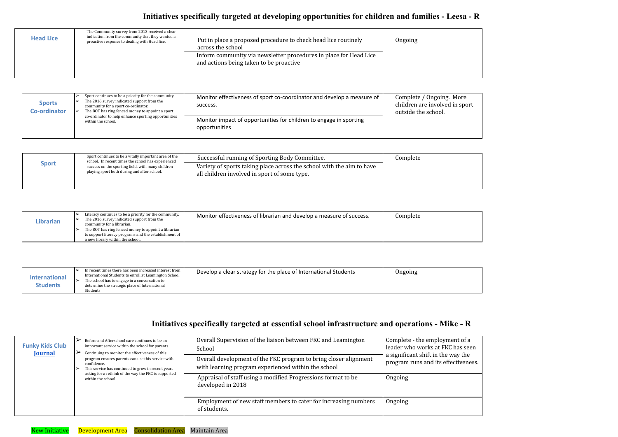# **Initiatives specifically targeted at developing opportunities for children and families - Leesa - R**

<span id="page-17-1"></span><span id="page-17-0"></span>

| <b>Head Lice</b> | The Community survey from 2013 received a clear<br>indication from the community that they wanted a<br>proactive response to dealing with Head lice. | Put in place a proposed procedure to check head lice routinely<br>across the school<br>Inform community via newsletter procedures in place for Head Lice<br>and actions being taken to be proactive | Ongoing |
|------------------|------------------------------------------------------------------------------------------------------------------------------------------------------|-----------------------------------------------------------------------------------------------------------------------------------------------------------------------------------------------------|---------|
|                  |                                                                                                                                                      |                                                                                                                                                                                                     |         |

<span id="page-17-2"></span>

| <b>Sports</b><br><b>Co-ordinator</b> | Sport continues to be a priority for the community.<br>The 2016 survey indicated support from the<br>community for a sport co-ordinator.<br>The BOT has ring fenced money to appoint a sport<br>co-ordinator to help enhance sporting opportunities | Monitor effectiveness of sport co-coordinator and develop a measure of<br>success.  | Complete / Ongoing. More<br>children are involved in sport<br>outside the school. |
|--------------------------------------|-----------------------------------------------------------------------------------------------------------------------------------------------------------------------------------------------------------------------------------------------------|-------------------------------------------------------------------------------------|-----------------------------------------------------------------------------------|
|                                      | within the school.                                                                                                                                                                                                                                  | Monitor impact of opportunities for children to engage in sporting<br>opportunities |                                                                                   |

<span id="page-17-5"></span>

| <b>International</b> | In recent times there has been increased interest from<br>International Students to enroll at Leamington School | Develop a clear strategy for the place of International Students | Ongoing |
|----------------------|-----------------------------------------------------------------------------------------------------------------|------------------------------------------------------------------|---------|
|                      | The school has to engage in a conversation to                                                                   |                                                                  |         |
| <b>Students</b>      | determine the strategic place of International                                                                  |                                                                  |         |
|                      | Students                                                                                                        |                                                                  |         |

<span id="page-17-3"></span>

|              | Sport continues to be a vitally important area of the<br>school. In recent times the school has experienced | Successful running of Sporting Body Committee.                                                                        | Complete |
|--------------|-------------------------------------------------------------------------------------------------------------|-----------------------------------------------------------------------------------------------------------------------|----------|
| <b>Sport</b> | success on the sporting field, with many children<br>playing sport both during and after school.            | Variety of sports taking place across the school with the aim to have<br>all children involved in sport of some type. |          |

<span id="page-17-4"></span>

# **Initiatives specifically targeted at essential school infrastructure and operations - Mike - R**

<span id="page-17-7"></span><span id="page-17-6"></span>

| <b>Funky Kids Club</b><br><b>Journal</b> | Before and Afterschool care continues to be an<br>important service within the school for parents.<br>Continuing to monitor the effectiveness of this<br>program ensures parents can use this service with<br>confidence.<br>This service has continued to grow in recent years | Overall Supervision of the liaison between FKC and Leamington<br>School<br>Overall development of the FKC program to bring closer alignment<br>with learning program experienced within the school | Complete - the employment of a<br>leader who works at FKC has seen<br>a significant shift in the way the<br>program runs and its effectiveness |
|------------------------------------------|---------------------------------------------------------------------------------------------------------------------------------------------------------------------------------------------------------------------------------------------------------------------------------|----------------------------------------------------------------------------------------------------------------------------------------------------------------------------------------------------|------------------------------------------------------------------------------------------------------------------------------------------------|
|                                          | asking for a rethink of the way the FKC is supported<br>within the school                                                                                                                                                                                                       | Appraisal of staff using a modified Progressions format to be<br>developed in 2018                                                                                                                 | Ongoing                                                                                                                                        |
|                                          |                                                                                                                                                                                                                                                                                 | Employment of new staff members to cater for increasing numbers<br>of students.                                                                                                                    | Ongoing                                                                                                                                        |